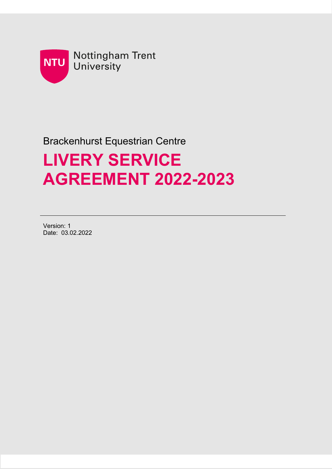

# Brackenhurst Equestrian Centre

# **LIVERY SERVICE AGREEMENT 2022-2023**

Version: 1 Date: 03.02.2022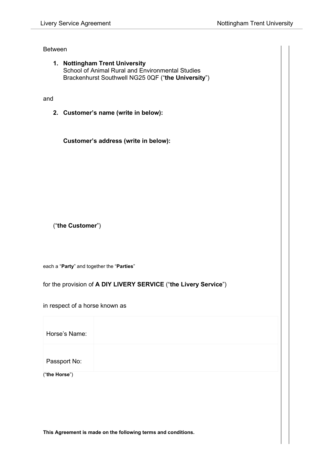#### Between

**1. Nottingham Trent University** School of Animal Rural and Environmental Studies Brackenhurst Southwell NG25 0QF ("**the University**")

#### and

**2. Customer's name (write in below):**

**Customer's address (write in below):**

("**the Customer**")

each a "**Party**" and together the "**Parties**"

for the provision of **A DIY LIVERY SERVICE** ("**the Livery Service**")

in respect of a horse known as

| Horse's Name: |  |
|---------------|--|
| Passport No:  |  |
| ("the Horse") |  |

**This Agreement is made on the following terms and conditions.**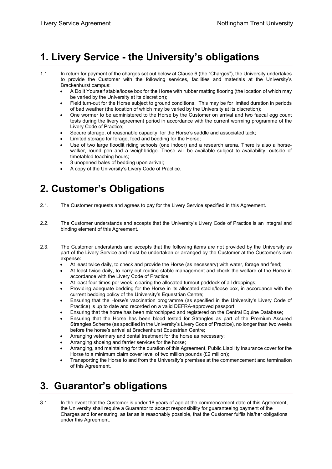### **1. Livery Service - the University's obligations**

- 1.1. In return for payment of the charges set out below at Clause 6 (the "Charges"), the University undertakes to provide the Customer with the following services, facilities and materials at the University's Brackenhurst campus:
	- A Do It Yourself stable/loose box for the Horse with rubber matting flooring (the location of which may be varied by the University at its discretion);
	- Field turn-out for the Horse subject to ground conditions. This may be for limited duration in periods of bad weather (the location of which may be varied by the University at its discretion);
	- One wormer to be administered to the Horse by the Customer on arrival and two faecal egg count tests during the livery agreement period in accordance with the current worming programme of the Livery Code of Practice;
	- Secure storage, of reasonable capacity, for the Horse's saddle and associated tack;
	- Limited storage for forage, feed and bedding for the Horse;
	- Use of two large floodlit riding schools (one indoor) and a research arena. There is also a horsewalker, round pen and a weighbridge. These will be available subject to availability, outside of timetabled teaching hours;
	- 3 unopened bales of bedding upon arrival;
	- A copy of the University's Livery Code of Practice.

# **2. Customer's Obligations**

- 2.1. The Customer requests and agrees to pay for the Livery Service specified in this Agreement.
- 2.2. The Customer understands and accepts that the University's Livery Code of Practice is an integral and binding element of this Agreement.
- 2.3. The Customer understands and accepts that the following items are not provided by the University as part of the Livery Service and must be undertaken or arranged by the Customer at the Customer's own expense:
	- At least twice daily, to check and provide the Horse (as necessary) with water, forage and feed;
	- At least twice daily, to carry out routine stable management and check the welfare of the Horse in accordance with the Livery Code of Practice;
	- At least four times per week, clearing the allocated turnout paddock of all droppings;
	- Providing adequate bedding for the Horse in its allocated stable/loose box, in accordance with the current bedding policy of the University's Equestrian Centre;
	- Ensuring that the Horse's vaccination programme (as specified in the University's Livery Code of Practice) is up to date and recorded on a valid DEFRA-approved passport;
	- Ensuring that the horse has been microchipped and registered on the Central Equine Database;
	- Ensuring that the Horse has been blood tested for Strangles as part of the Premium Assured Strangles Scheme (as specified in the University's Livery Code of Practice), no longer than two weeks before the horse's arrival at Brackenhurst Equestrian Centre;
	- Arranging veterinary and dental treatment for the horse as necessary;
	- Arranging shoeing and farrier services for the horse;
	- Arranging, and maintaining for the duration of this Agreement, Public Liability Insurance cover for the Horse to a minimum claim cover level of two million pounds (£2 million);
	- Transporting the Horse to and from the University's premises at the commencement and termination of this Agreement.

### **3. Guarantor's obligations**

3.1. In the event that the Customer is under 18 years of age at the commencement date of this Agreement, the University shall require a Guarantor to accept responsibility for guaranteeing payment of the Charges and for ensuring, as far as is reasonably possible, that the Customer fulfils his/her obligations under this Agreement.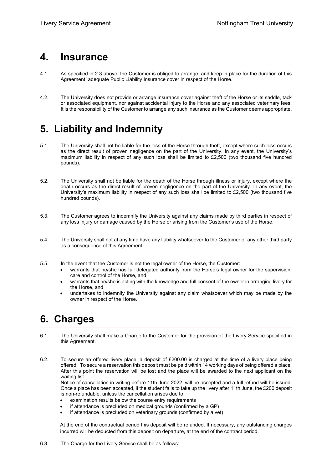#### **4. Insurance**

- 4.1. As specified in 2.3 above, the Customer is obliged to arrange, and keep in place for the duration of this Agreement, adequate Public Liability Insurance cover in respect of the Horse.
- 4.2. The University does not provide or arrange insurance cover against theft of the Horse or its saddle, tack or associated equipment, nor against accidental injury to the Horse and any associated veterinary fees. It is the responsibility of the Customer to arrange any such insurance as the Customer deems appropriate.

# **5. Liability and Indemnity**

- 5.1. The University shall not be liable for the loss of the Horse through theft, except where such loss occurs as the direct result of proven negligence on the part of the University. In any event, the University's maximum liability in respect of any such loss shall be limited to £2,500 (two thousand five hundred pounds).
- 5.2. The University shall not be liable for the death of the Horse through illness or injury, except where the death occurs as the direct result of proven negligence on the part of the University. In any event, the University's maximum liability in respect of any such loss shall be limited to £2,500 (two thousand five hundred pounds).
- 5.3. The Customer agrees to indemnify the University against any claims made by third parties in respect of any loss injury or damage caused by the Horse or arising from the Customer's use of the Horse.
- 5.4. The University shall not at any time have any liability whatsoever to the Customer or any other third party as a consequence of this Agreement
- 5.5. In the event that the Customer is not the legal owner of the Horse, the Customer:
	- warrants that he/she has full delegated authority from the Horse's legal owner for the supervision, care and control of the Horse, and
	- warrants that he/she is acting with the knowledge and full consent of the owner in arranging livery for the Horse, and
	- undertakes to indemnify the University against any claim whatsoever which may be made by the owner in respect of the Horse.

### **6. Charges**

- 6.1. The University shall make a Charge to the Customer for the provision of the Livery Service specified in this Agreement.
- 6.2. To secure an offered livery place; a deposit of £200.00 is charged at the time of a livery place being offered. To secure a reservation this deposit must be paid within 14 working days of being offered a place. After this point the reservation will be lost and the place will be awarded to the next applicant on the waiting list.

Notice of cancellation in writing before 11th June 2022, will be accepted and a full refund will be issued. Once a place has been accepted, if the student fails to take up the livery after 11th June, the £200 deposit is non-refundable, unless the cancellation arises due to:

- examination results below the course entry requirements
- if attendance is precluded on medical grounds (confirmed by a GP)
- if attendance is precluded on veterinary grounds (confirmed by a vet)

At the end of the contractual period this deposit will be refunded. If necessary, any outstanding charges incurred will be deducted from this deposit on departure, at the end of the contract period.

6.3. The Charge for the Livery Service shall be as follows: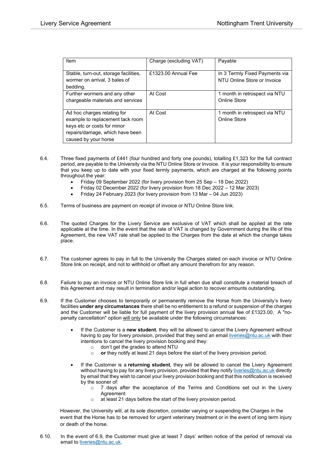| Item                                                                                                                                                      | Charge (excluding VAT) | Payable                                                       |
|-----------------------------------------------------------------------------------------------------------------------------------------------------------|------------------------|---------------------------------------------------------------|
| Stable, turn-out, storage facilities,<br>wormer on arrival, 3 bales of<br>bedding.                                                                        | £1323.00 Annual Fee    | In 3 Termly Fixed Payments via<br>NTU Online Store or Invoice |
| Further wormers and any other<br>chargeable materials and services                                                                                        | At Cost                | 1 month in retrospect via NTU<br>Online Store                 |
| Ad hoc charges relating for<br>example to replacement tack room<br>keys etc or costs for minor<br>repairs/damage, which have been<br>caused by your horse | At Cost                | 1 month in retrospect via NTU<br>Online Store                 |

- 6.4. Three fixed payments of £441 (four hundred and forty one pounds), totalling £1,323 for the full contract period, are payable to the University via the NTU Online Store or Invoice. It is your responsibility to ensure that you keep up to date with your fixed termly payments, which are charged at the following points throughout the year:
	- Friday 09 September 2022 (for livery provision from 25 Sep 18 Dec 2022)
	- Friday 02 December 2022 (for livery provision from 18 Dec 2022 12 Mar 2023)
	- Friday 24 February 2023 (for livery provision from 13 Mar 04 Jun 2023)
- 6.5. Terms of business are payment on receipt of invoice or NTU Online Store link.
- 6.6. The quoted Charges for the Livery Service are exclusive of VAT which shall be applied at the rate applicable at the time. In the event that the rate of VAT is changed by Government during the life of this Agreement, the new VAT rate shall be applied to the Charges from the date at which the change takes place.
- 6.7. The customer agrees to pay in full to the University the Charges stated on each invoice or NTU Online Store link on receipt, and not to withhold or offset any amount therefrom for any reason.
- 6.8. Failure to pay an invoice or NTU Online Store link in full when due shall constitute a material breach of this Agreement and may result in termination and/or legal action to recover amounts outstanding.
- 6.9. If the Customer chooses to temporarily or permanently remove the Horse from the University's livery facilities **under any circumstances** there shall be no entitlement to a refund or suspension of the charges and the Customer will be liable for full payment of the livery provision annual fee of £1323.00. A "nopenalty cancellation" option will only be available under the following circumstances:
	- If the Customer is a **new student**, they will be allowed to cancel the Livery Agreement without having to pay for livery provision, provided that they send an email [liveries@ntu.ac.uk](mailto:liveries@ntu.ac.uk) with their intentions to cancel the livery provision booking and they:
		- $\circ$  don't get the grades to attend NTU<br> $\circ$  or they notify at least 21 days befo
		- or they notify at least 21 days before the start of the livery provision period.
	- If the Customer is a **returning student**, they will be allowed to cancel the Livery Agreement without having to pay for any livery provision, provided that they notif[y liveries@ntu.ac.uk](mailto:liveries@ntu.ac.uk) directly by email that they wish to cancel your livery provision booking and that this notification is received by the sooner of:
		- $\circ$  7 days after the acceptance of the Terms and Conditions set out in the Livery Agreement
		- o at least 21 days before the start of the livery provision period.

However, the University will, at its sole discretion, consider varying or suspending the Charges in the event that the Horse has to be removed for urgent veterinary treatment or in the event of long term injury or death of the horse.

6.10. In the event of 6.9, the Customer must give at least 7 days' written notice of the period of removal via email to [liveries@ntu.ac.uk.](mailto:liveries@ntu.ac.uk)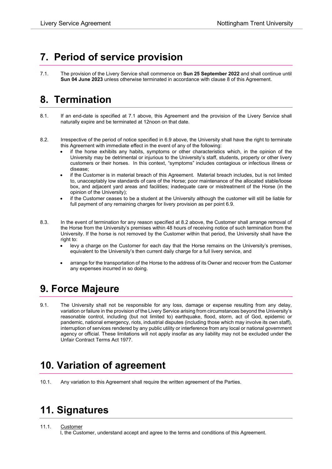# **7. Period of service provision**

7.1. The provision of the Livery Service shall commence on **Sun 25 September 2022** and shall continue until **Sun 04 June 2023** unless otherwise terminated in accordance with clause 8 of this Agreement.

# **8. Termination**

- 8.1. If an end-date is specified at 7.1 above, this Agreement and the provision of the Livery Service shall naturally expire and be terminated at 12noon on that date.
- 8.2. Irrespective of the period of notice specified in 6.9 above, the University shall have the right to terminate this Agreement with immediate effect in the event of any of the following:
	- if the horse exhibits any habits, symptoms or other characteristics which, in the opinion of the University may be detrimental or injurious to the University's staff, students, property or other livery customers or their horses. In this context, "symptoms" includes contagious or infectious illness or disease;
	- if the Customer is in material breach of this Agreement. Material breach includes, but is not limited to, unacceptably low standards of care of the Horse; poor maintenance of the allocated stable/loose box, and adjacent yard areas and facilities; inadequate care or mistreatment of the Horse (in the opinion of the University);
	- if the Customer ceases to be a student at the University although the customer will still be liable for full payment of any remaining charges for livery provision as per point 6.9.
- 8.3. In the event of termination for any reason specified at 8.2 above, the Customer shall arrange removal of the Horse from the University's premises within 48 hours of receiving notice of such termination from the University. If the horse is not removed by the Customer within that period, the University shall have the right to:
	- levy a charge on the Customer for each day that the Horse remains on the University's premises, equivalent to the University's then current daily charge for a full livery service, and
	- arrange for the transportation of the Horse to the address of its Owner and recover from the Customer any expenses incurred in so doing.

### **9. Force Majeure**

9.1. The University shall not be responsible for any loss, damage or expense resulting from any delay, variation or failure in the provision of the Livery Service arising from circumstances beyond the University's reasonable control, including (but not limited to) earthquake, flood, storm, act of God, epidemic or pandemic, national emergency, riots, industrial disputes (including those which may involve its own staff), interruption of services rendered by any public utility or interference from any local or national government agency or official. These limitations will not apply insofar as any liability may not be excluded under the Unfair Contract Terms Act 1977.

# **10. Variation of agreement**

10.1. Any variation to this Agreement shall require the written agreement of the Parties.

# **11. Signatures**

#### 11.1. Customer

I, the Customer, understand accept and agree to the terms and conditions of this Agreement.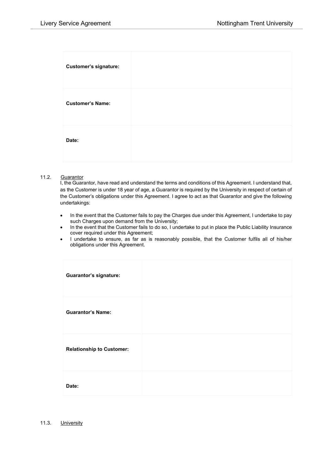| <b>Customer's signature:</b> |  |
|------------------------------|--|
| <b>Customer's Name:</b>      |  |
| Date:                        |  |

#### 11.2. Guarantor

I, the Guarantor, have read and understand the terms and conditions of this Agreement. I understand that, as the Customer is under 18 year of age, a Guarantor is required by the University in respect of certain of the Customer's obligations under this Agreement. I agree to act as that Guarantor and give the following undertakings:

- In the event that the Customer fails to pay the Charges due under this Agreement, I undertake to pay such Charges upon demand from the University;
- In the event that the Customer fails to do so, I undertake to put in place the Public Liability Insurance cover required under this Agreement;
- I undertake to ensure, as far as is reasonably possible, that the Customer fulfils all of his/her obligations under this Agreement.

| <b>Guarantor's signature:</b>    |  |
|----------------------------------|--|
| <b>Guarantor's Name:</b>         |  |
| <b>Relationship to Customer:</b> |  |
| Date:                            |  |

11.3. University